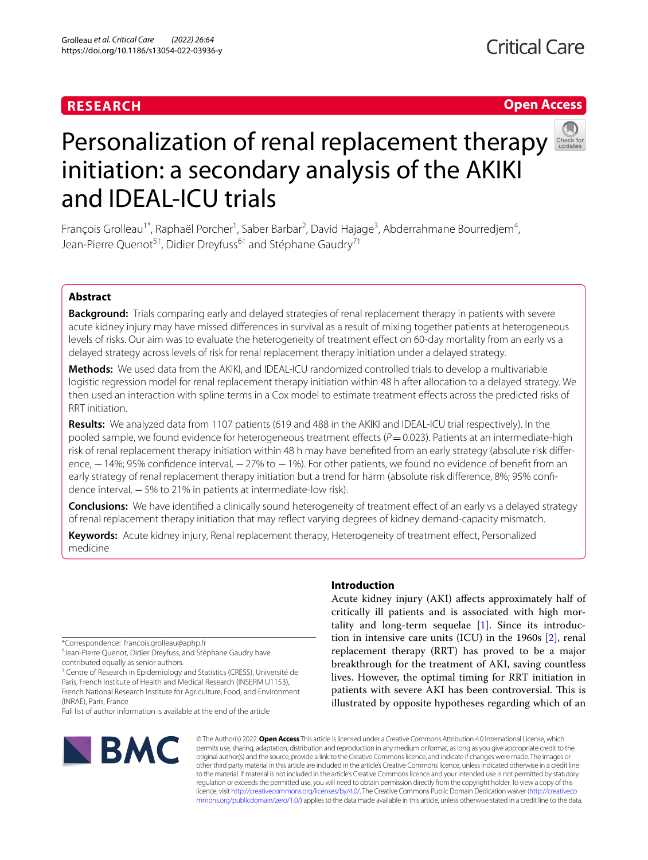# **RESEARCH**

# **Open Access**



# Personalization of renal replacement therapy initiation: a secondary analysis of the AKIKI and IDEAL-ICU trials

François Grolleau<sup>1\*</sup>, Raphaël Porcher<sup>1</sup>, Saber Barbar<sup>2</sup>, David Hajage<sup>3</sup>, Abderrahmane Bourredjem<sup>4</sup>, Jean-Pierre Quenot<sup>5†</sup>, Didier Dreyfuss<sup>6†</sup> and Stéphane Gaudry<sup>7†</sup>

### **Abstract**

**Background:** Trials comparing early and delayed strategies of renal replacement therapy in patients with severe acute kidney injury may have missed diferences in survival as a result of mixing together patients at heterogeneous levels of risks. Our aim was to evaluate the heterogeneity of treatment efect on 60-day mortality from an early vs a delayed strategy across levels of risk for renal replacement therapy initiation under a delayed strategy.

**Methods:** We used data from the AKIKI, and IDEAL-ICU randomized controlled trials to develop a multivariable logistic regression model for renal replacement therapy initiation within 48 h after allocation to a delayed strategy. We then used an interaction with spline terms in a Cox model to estimate treatment efects across the predicted risks of RRT initiation.

**Results:** We analyzed data from 1107 patients (619 and 488 in the AKIKI and IDEAL-ICU trial respectively). In the pooled sample, we found evidence for heterogeneous treatment effects ( $P=0.023$ ). Patients at an intermediate-high risk of renal replacement therapy initiation within 48 h may have benefited from an early strategy (absolute risk difference, −14%; 95% confidence interval, −27% to −1%). For other patients, we found no evidence of benefit from an early strategy of renal replacement therapy initiation but a trend for harm (absolute risk difference, 8%; 95% confidence interval, −5% to 21% in patients at intermediate-low risk).

**Conclusions:** We have identifed a clinically sound heterogeneity of treatment efect of an early vs a delayed strategy of renal replacement therapy initiation that may refect varying degrees of kidney demand-capacity mismatch.

**Keywords:** Acute kidney injury, Renal replacement therapy, Heterogeneity of treatment efect, Personalized medicine

\*Correspondence: francois.grolleau@aphp.fr

† Jean-Pierre Quenot, Didier Dreyfuss, and Stéphane Gaudry have contributed equally as senior authors.

<sup>1</sup> Centre of Research in Epidemiology and Statistics (CRESS), Université de Paris, French Institute of Health and Medical Research (INSERM U1153), French National Research Institute for Agriculture, Food, and Environment (INRAE), Paris, France

Full list of author information is available at the end of the article



#### **Introduction**

Acute kidney injury (AKI) afects approximately half of critically ill patients and is associated with high mortality and long-term sequelae [[1\]](#page-9-0). Since its introduction in intensive care units (ICU) in the 1960s [\[2](#page-9-1)], renal replacement therapy (RRT) has proved to be a major breakthrough for the treatment of AKI, saving countless lives. However, the optimal timing for RRT initiation in patients with severe AKI has been controversial. This is illustrated by opposite hypotheses regarding which of an

© The Author(s) 2022. **Open Access** This article is licensed under a Creative Commons Attribution 4.0 International License, which permits use, sharing, adaptation, distribution and reproduction in any medium or format, as long as you give appropriate credit to the original author(s) and the source, provide a link to the Creative Commons licence, and indicate if changes were made. The images or other third party material in this article are included in the article's Creative Commons licence, unless indicated otherwise in a credit line to the material. If material is not included in the article's Creative Commons licence and your intended use is not permitted by statutory regulation or exceeds the permitted use, you will need to obtain permission directly from the copyright holder. To view a copy of this licence, visit [http://creativecommons.org/licenses/by/4.0/.](http://creativecommons.org/licenses/by/4.0/) The Creative Commons Public Domain Dedication waiver ([http://creativeco](http://creativecommons.org/publicdomain/zero/1.0/) [mmons.org/publicdomain/zero/1.0/](http://creativecommons.org/publicdomain/zero/1.0/)) applies to the data made available in this article, unless otherwise stated in a credit line to the data.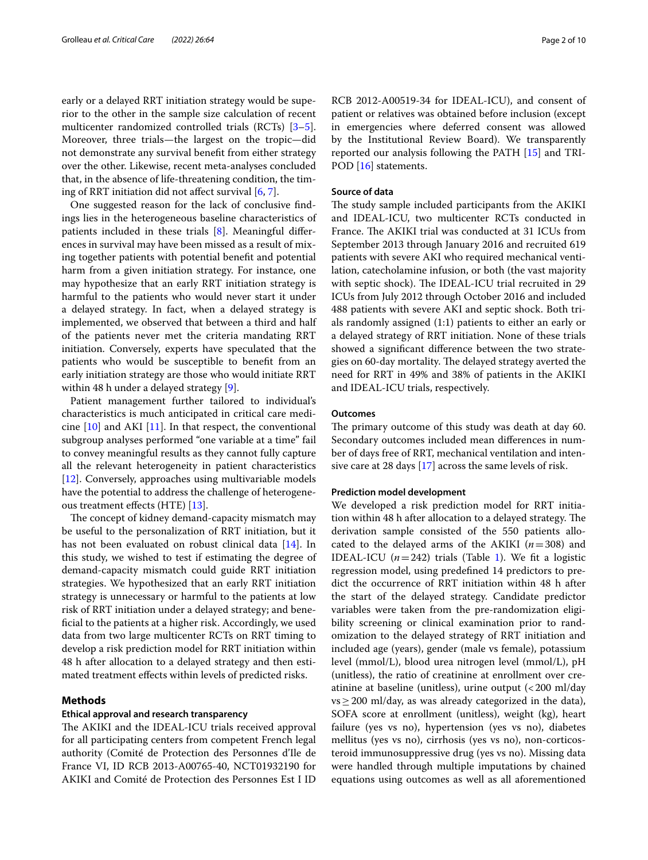early or a delayed RRT initiation strategy would be superior to the other in the sample size calculation of recent multicenter randomized controlled trials (RCTs) [\[3](#page-9-2)[–5](#page-9-3)]. Moreover, three trials—the largest on the tropic—did not demonstrate any survival beneft from either strategy over the other. Likewise, recent meta-analyses concluded that, in the absence of life-threatening condition, the timing of RRT initiation did not afect survival [[6,](#page-9-4) [7](#page-9-5)].

One suggested reason for the lack of conclusive fndings lies in the heterogeneous baseline characteristics of patients included in these trials [\[8](#page-9-6)]. Meaningful diferences in survival may have been missed as a result of mixing together patients with potential beneft and potential harm from a given initiation strategy. For instance, one may hypothesize that an early RRT initiation strategy is harmful to the patients who would never start it under a delayed strategy. In fact, when a delayed strategy is implemented, we observed that between a third and half of the patients never met the criteria mandating RRT initiation. Conversely, experts have speculated that the patients who would be susceptible to beneft from an early initiation strategy are those who would initiate RRT within 48 h under a delayed strategy [[9](#page-9-7)].

Patient management further tailored to individual's characteristics is much anticipated in critical care medicine  $[10]$  $[10]$  and AKI  $[11]$  $[11]$ . In that respect, the conventional subgroup analyses performed "one variable at a time" fail to convey meaningful results as they cannot fully capture all the relevant heterogeneity in patient characteristics [[12\]](#page-9-10). Conversely, approaches using multivariable models have the potential to address the challenge of heterogeneous treatment efects (HTE) [\[13](#page-9-11)].

The concept of kidney demand-capacity mismatch may be useful to the personalization of RRT initiation, but it has not been evaluated on robust clinical data [\[14](#page-9-12)]. In this study, we wished to test if estimating the degree of demand-capacity mismatch could guide RRT initiation strategies. We hypothesized that an early RRT initiation strategy is unnecessary or harmful to the patients at low risk of RRT initiation under a delayed strategy; and benefcial to the patients at a higher risk. Accordingly, we used data from two large multicenter RCTs on RRT timing to develop a risk prediction model for RRT initiation within 48 h after allocation to a delayed strategy and then estimated treatment efects within levels of predicted risks.

#### **Methods**

#### **Ethical approval and research transparency**

The AKIKI and the IDEAL-ICU trials received approval for all participating centers from competent French legal authority (Comité de Protection des Personnes d'Ile de France VI, ID RCB 2013-A00765-40, NCT01932190 for AKIKI and Comité de Protection des Personnes Est I ID

RCB 2012-A00519-34 for IDEAL-ICU), and consent of patient or relatives was obtained before inclusion (except in emergencies where deferred consent was allowed by the Institutional Review Board). We transparently reported our analysis following the PATH [[15](#page-9-13)] and TRI-POD [[16\]](#page-9-14) statements.

#### **Source of data**

The study sample included participants from the AKIKI and IDEAL-ICU, two multicenter RCTs conducted in France. The AKIKI trial was conducted at 31 ICUs from September 2013 through January 2016 and recruited 619 patients with severe AKI who required mechanical ventilation, catecholamine infusion, or both (the vast majority with septic shock). The IDEAL-ICU trial recruited in 29 ICUs from July 2012 through October 2016 and included 488 patients with severe AKI and septic shock. Both trials randomly assigned (1:1) patients to either an early or a delayed strategy of RRT initiation. None of these trials showed a signifcant diference between the two strategies on 60-day mortality. The delayed strategy averted the need for RRT in 49% and 38% of patients in the AKIKI and IDEAL-ICU trials, respectively.

#### **Outcomes**

The primary outcome of this study was death at day 60. Secondary outcomes included mean diferences in number of days free of RRT, mechanical ventilation and intensive care at 28 days [\[17](#page-9-15)] across the same levels of risk.

#### **Prediction model development**

We developed a risk prediction model for RRT initiation within 48 h after allocation to a delayed strategy. The derivation sample consisted of the 550 patients allocated to the delayed arms of the AKIKI  $(n=308)$  and IDEAL-ICU  $(n=242)$  trials (Table [1\)](#page-2-0). We fit a logistic regression model, using predefned 14 predictors to predict the occurrence of RRT initiation within 48 h after the start of the delayed strategy. Candidate predictor variables were taken from the pre-randomization eligibility screening or clinical examination prior to randomization to the delayed strategy of RRT initiation and included age (years), gender (male vs female), potassium level (mmol/L), blood urea nitrogen level (mmol/L), pH (unitless), the ratio of creatinine at enrollment over creatinine at baseline (unitless), urine output  $\left($  < 200 ml/day  $vs \geq 200$  ml/day, as was already categorized in the data), SOFA score at enrollment (unitless), weight (kg), heart failure (yes vs no), hypertension (yes vs no), diabetes mellitus (yes vs no), cirrhosis (yes vs no), non-corticosteroid immunosuppressive drug (yes vs no). Missing data were handled through multiple imputations by chained equations using outcomes as well as all aforementioned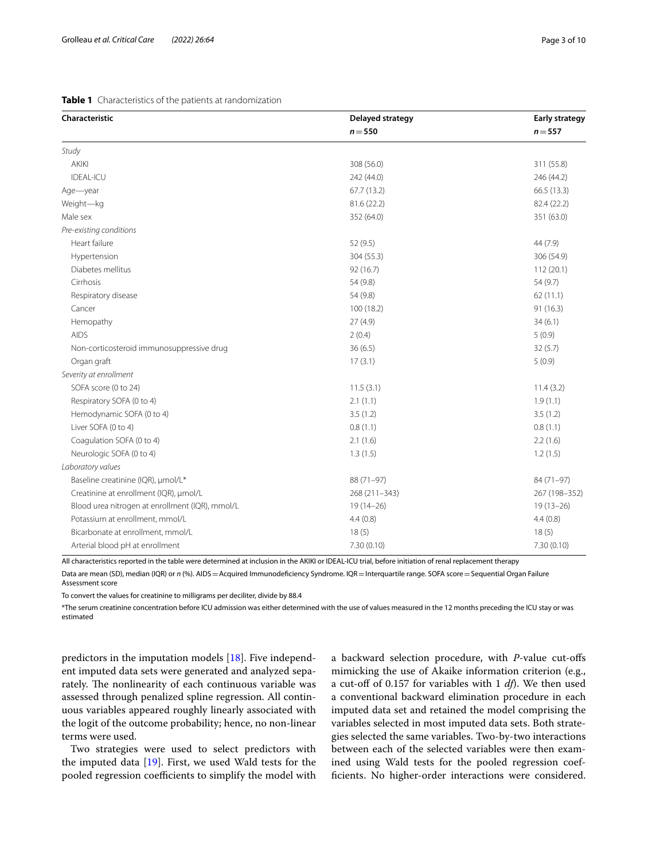#### <span id="page-2-0"></span>**Table 1** Characteristics of the patients at randomization

| Characteristic                                  | Delayed strategy | <b>Early strategy</b> |
|-------------------------------------------------|------------------|-----------------------|
|                                                 | $n = 550$        | $n = 557$             |
| Study                                           |                  |                       |
| <b>AKIKI</b>                                    | 308 (56.0)       | 311 (55.8)            |
| <b>IDEAL-ICU</b>                                | 242 (44.0)       | 246 (44.2)            |
| Age-year                                        | 67.7 (13.2)      | 66.5 (13.3)           |
| Weight-kg                                       | 81.6 (22.2)      | 82.4 (22.2)           |
| Male sex                                        | 352 (64.0)       | 351 (63.0)            |
| Pre-existing conditions                         |                  |                       |
| Heart failure                                   | 52 (9.5)         | 44 (7.9)              |
| Hypertension                                    | 304 (55.3)       | 306 (54.9)            |
| Diabetes mellitus                               | 92 (16.7)        | 112(20.1)             |
| Cirrhosis                                       | 54 (9.8)         | 54 (9.7)              |
| Respiratory disease                             | 54 (9.8)         | 62(11.1)              |
| Cancer                                          | 100 (18.2)       | 91(16.3)              |
| Hemopathy                                       | 27(4.9)          | 34(6.1)               |
| <b>AIDS</b>                                     | 2(0.4)           | 5(0.9)                |
| Non-corticosteroid immunosuppressive drug       | 36(6.5)          | 32(5.7)               |
| Organ graft                                     | 17(3.1)          | 5(0.9)                |
| Severity at enrollment                          |                  |                       |
| SOFA score (0 to 24)                            | 11.5(3.1)        | 11.4(3.2)             |
| Respiratory SOFA (0 to 4)                       | 2.1(1.1)         | 1.9(1.1)              |
| Hemodynamic SOFA (0 to 4)                       | 3.5(1.2)         | 3.5(1.2)              |
| Liver SOFA (0 to 4)                             | 0.8(1.1)         | 0.8(1.1)              |
| Coagulation SOFA (0 to 4)                       | 2.1(1.6)         | 2.2(1.6)              |
| Neurologic SOFA (0 to 4)                        | 1.3(1.5)         | 1.2(1.5)              |
| Laboratory values                               |                  |                       |
| Baseline creatinine (IQR), µmol/L*              | 88 (71-97)       | 84 (71-97)            |
| Creatinine at enrollment (IQR), µmol/L          | 268 (211-343)    | 267 (198-352)         |
| Blood urea nitrogen at enrollment (IQR), mmol/L | $19(14-26)$      | $19(13-26)$           |
| Potassium at enrollment, mmol/L                 | 4.4(0.8)         | 4.4(0.8)              |
| Bicarbonate at enrollment, mmol/L               | 18(5)            | 18(5)                 |
| Arterial blood pH at enrollment                 | 7.30 (0.10)      | 7.30 (0.10)           |

All characteristics reported in the table were determined at inclusion in the AKIKI or IDEAL-ICU trial, before initiation of renal replacement therapy

Data are mean (SD), median (IQR) or *n* (%). AIDS = Acquired Immunodeficiency Syndrome. IQR = Interquartile range. SOFA score = Sequential Organ Failure Assessment score

To convert the values for creatinine to milligrams per deciliter, divide by 88.4

\*The serum creatinine concentration before ICU admission was either determined with the use of values measured in the 12 months preceding the ICU stay or was estimated

predictors in the imputation models [\[18](#page-9-16)]. Five independent imputed data sets were generated and analyzed separately. The nonlinearity of each continuous variable was assessed through penalized spline regression. All continuous variables appeared roughly linearly associated with the logit of the outcome probability; hence, no non-linear terms were used.

Two strategies were used to select predictors with the imputed data [\[19\]](#page-9-17). First, we used Wald tests for the pooled regression coefficients to simplify the model with a backward selection procedure, with *P-*value cut-ofs mimicking the use of Akaike information criterion (e.g., a cut-off of 0.157 for variables with 1 *df*). We then used a conventional backward elimination procedure in each imputed data set and retained the model comprising the variables selected in most imputed data sets. Both strategies selected the same variables. Two-by-two interactions between each of the selected variables were then examined using Wald tests for the pooled regression coeffcients. No higher-order interactions were considered.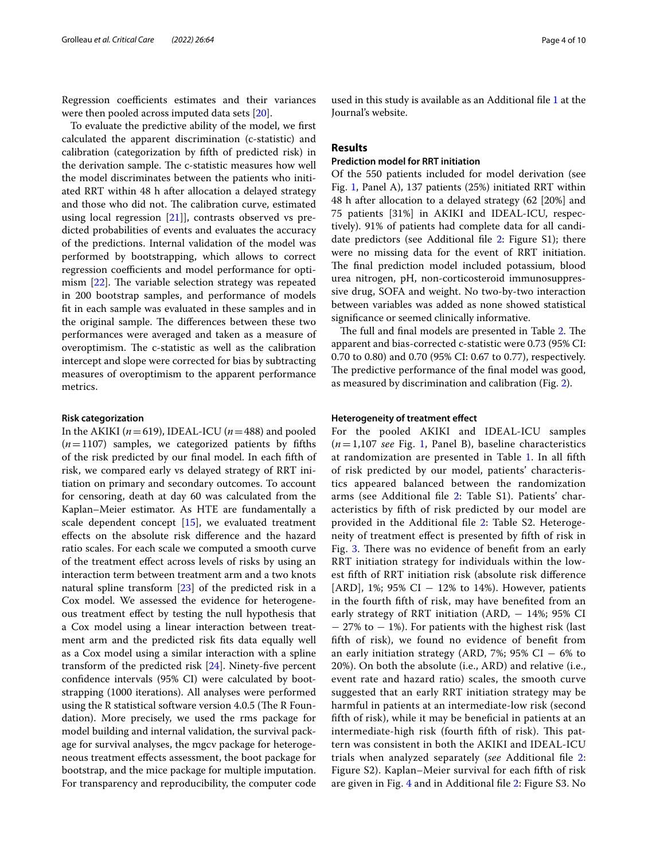Regression coefficients estimates and their variances were then pooled across imputed data sets [\[20](#page-9-18)].

To evaluate the predictive ability of the model, we frst calculated the apparent discrimination (c-statistic) and calibration (categorization by ffth of predicted risk) in the derivation sample. The c-statistic measures how well the model discriminates between the patients who initiated RRT within 48 h after allocation a delayed strategy and those who did not. The calibration curve, estimated using local regression [[21](#page-9-19)]], contrasts observed vs predicted probabilities of events and evaluates the accuracy of the predictions. Internal validation of the model was performed by bootstrapping, which allows to correct regression coefficients and model performance for optimism  $[22]$  $[22]$ . The variable selection strategy was repeated in 200 bootstrap samples, and performance of models ft in each sample was evaluated in these samples and in the original sample. The differences between these two performances were averaged and taken as a measure of overoptimism. The c-statistic as well as the calibration intercept and slope were corrected for bias by subtracting measures of overoptimism to the apparent performance metrics.

#### **Risk categorization**

In the AKIKI ( $n=619$ ), IDEAL-ICU ( $n=488$ ) and pooled  $(n=1107)$  samples, we categorized patients by fifths of the risk predicted by our fnal model. In each ffth of risk, we compared early vs delayed strategy of RRT initiation on primary and secondary outcomes. To account for censoring, death at day 60 was calculated from the Kaplan–Meier estimator. As HTE are fundamentally a scale dependent concept [[15\]](#page-9-13), we evaluated treatment efects on the absolute risk diference and the hazard ratio scales. For each scale we computed a smooth curve of the treatment efect across levels of risks by using an interaction term between treatment arm and a two knots natural spline transform [[23\]](#page-9-21) of the predicted risk in a Cox model. We assessed the evidence for heterogeneous treatment efect by testing the null hypothesis that a Cox model using a linear interaction between treatment arm and the predicted risk fts data equally well as a Cox model using a similar interaction with a spline transform of the predicted risk [[24\]](#page-9-22). Ninety-fve percent confdence intervals (95% CI) were calculated by bootstrapping (1000 iterations). All analyses were performed using the R statistical software version  $4.0.5$  (The R Foundation). More precisely, we used the rms package for model building and internal validation, the survival package for survival analyses, the mgcv package for heterogeneous treatment efects assessment, the boot package for bootstrap, and the mice package for multiple imputation. For transparency and reproducibility, the computer code

used in this study is available as an Additional fle [1](#page-8-0) at the Journal's website.

#### **Results**

#### **Prediction model for RRT initiation**

Of the 550 patients included for model derivation (see Fig. [1,](#page-4-0) Panel A), 137 patients (25%) initiated RRT within 48 h after allocation to a delayed strategy (62 [20%] and 75 patients [31%] in AKIKI and IDEAL-ICU, respectively). 91% of patients had complete data for all candidate predictors (see Additional fle [2:](#page-8-1) Figure S1); there were no missing data for the event of RRT initiation. The final prediction model included potassium, blood urea nitrogen, pH, non-corticosteroid immunosuppressive drug, SOFA and weight. No two-by-two interaction between variables was added as none showed statistical signifcance or seemed clinically informative.

The full and final models are presented in Table [2](#page-5-0). The apparent and bias-corrected c-statistic were 0.73 (95% CI: 0.70 to 0.80) and 0.70 (95% CI: 0.67 to 0.77), respectively. The predictive performance of the final model was good, as measured by discrimination and calibration (Fig. [2\)](#page-6-0).

#### **Heterogeneity of treatment efect**

For the pooled AKIKI and IDEAL-ICU samples (*n*=1,107 *see* Fig. [1,](#page-4-0) Panel B), baseline characteristics at randomization are presented in Table [1](#page-2-0). In all ffth of risk predicted by our model, patients' characteristics appeared balanced between the randomization arms (see Additional fle [2](#page-8-1): Table S1). Patients' characteristics by ffth of risk predicted by our model are provided in the Additional fle [2:](#page-8-1) Table S2. Heterogeneity of treatment efect is presented by ffth of risk in Fig. [3.](#page-7-0) There was no evidence of benefit from an early RRT initiation strategy for individuals within the lowest ffth of RRT initiation risk (absolute risk diference [ARD], 1%; 95% CI  $-$  12% to 14%). However, patients in the fourth ffth of risk, may have benefted from an early strategy of RRT initiation (ARD, − 14%; 95% CI − 27% to − 1%). For patients with the highest risk (last ffth of risk), we found no evidence of beneft from an early initiation strategy (ARD, 7%; 95% CI  $-6\%$  to 20%). On both the absolute (i.e., ARD) and relative (i.e., event rate and hazard ratio) scales, the smooth curve suggested that an early RRT initiation strategy may be harmful in patients at an intermediate-low risk (second ffth of risk), while it may be benefcial in patients at an intermediate-high risk (fourth fifth of risk). This pattern was consistent in both the AKIKI and IDEAL-ICU trials when analyzed separately (*see* Additional fle [2](#page-8-1): Figure S2). Kaplan–Meier survival for each ffth of risk are given in Fig. [4](#page-8-2) and in Additional fle [2](#page-8-1): Figure S3. No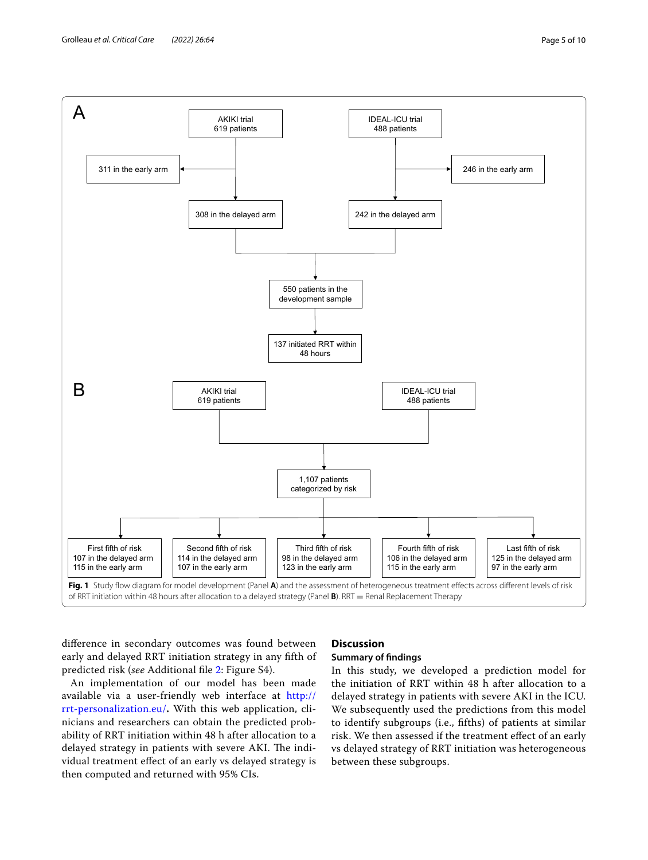

<span id="page-4-0"></span>diference in secondary outcomes was found between early and delayed RRT initiation strategy in any ffth of predicted risk (*see* Additional fle [2](#page-8-1): Figure S4).

An implementation of our model has been made available via a user-friendly web interface at [http://](http://rrt-personalization.eu/) [rrt-personalization.eu/](http://rrt-personalization.eu/)**.** With this web application, clinicians and researchers can obtain the predicted probability of RRT initiation within 48 h after allocation to a delayed strategy in patients with severe AKI. The individual treatment efect of an early vs delayed strategy is then computed and returned with 95% CIs.

# **Discussion**

## **Summary of fndings**

In this study, we developed a prediction model for the initiation of RRT within 48 h after allocation to a delayed strategy in patients with severe AKI in the ICU. We subsequently used the predictions from this model to identify subgroups (i.e., ffths) of patients at similar risk. We then assessed if the treatment efect of an early vs delayed strategy of RRT initiation was heterogeneous between these subgroups.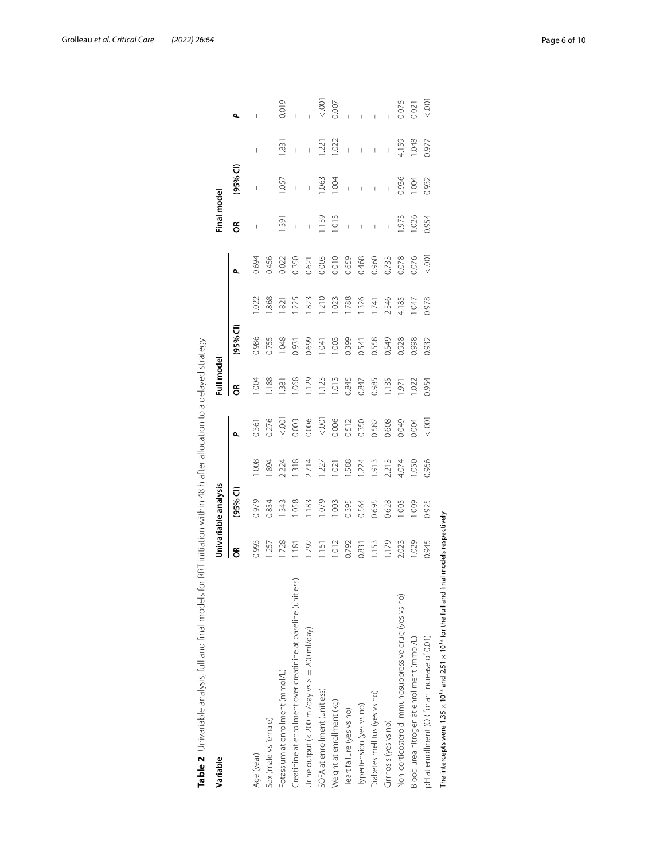| Variable                                                                                                       |       | Univariable analysis |       |                  | Full model |           |                  |       | Final model                                                                                                                                                                                                                                                                                                                                                                      |                |                                       |                 |
|----------------------------------------------------------------------------------------------------------------|-------|----------------------|-------|------------------|------------|-----------|------------------|-------|----------------------------------------------------------------------------------------------------------------------------------------------------------------------------------------------------------------------------------------------------------------------------------------------------------------------------------------------------------------------------------|----------------|---------------------------------------|-----------------|
|                                                                                                                | g     | (95% <sup>°</sup>    |       | ٩                | g          | $(95%$ CI |                  | ٩     | g                                                                                                                                                                                                                                                                                                                                                                                | (95% CI)       |                                       | ٩               |
| Age (year)                                                                                                     | 0.993 | 0.979                | .008  | 0.361            | 004        | 0.986     | 1.022            | 0.694 | I                                                                                                                                                                                                                                                                                                                                                                                |                | I                                     |                 |
| Sex (male vs female)                                                                                           | 1.257 | 0.834                | .894  | 0.276            | 1.188      | 0.755     | .868             | 0.456 | $\begin{array}{c} \rule{0pt}{2.5ex} \rule{0pt}{2.5ex} \rule{0pt}{2.5ex} \rule{0pt}{2.5ex} \rule{0pt}{2.5ex} \rule{0pt}{2.5ex} \rule{0pt}{2.5ex} \rule{0pt}{2.5ex} \rule{0pt}{2.5ex} \rule{0pt}{2.5ex} \rule{0pt}{2.5ex} \rule{0pt}{2.5ex} \rule{0pt}{2.5ex} \rule{0pt}{2.5ex} \rule{0pt}{2.5ex} \rule{0pt}{2.5ex} \rule{0pt}{2.5ex} \rule{0pt}{2.5ex} \rule{0pt}{2.5ex} \rule{0$ | Í              | $\overline{\phantom{a}}$              |                 |
| Potassium at enrollment (mmol/L)                                                                               | 1.728 | 1.343                | 2.224 | $\overline{5}$   | 1.381      | 1.048     | $\overline{821}$ | 0.022 | $\frac{39}{3}$                                                                                                                                                                                                                                                                                                                                                                   | $-55$          | $\overline{31}$                       | 0.019           |
| Creatinine at enrollment over creatinine at baseline (unitless)                                                | 1.181 | .058                 | 1.318 | 0.003            | 1.068      | 0.931     | 1.225            | 0.350 | $\mathbf{I}$                                                                                                                                                                                                                                                                                                                                                                     | $\overline{1}$ | I                                     |                 |
| Urine output (< 200 ml/day vs > = 200 ml/day)                                                                  | 1.792 | 183                  | 2.714 | 0.006            | 1.129      | 0.699     | .823             | 0.621 | $\begin{array}{c} \rule{0pt}{2.5ex} \rule{0pt}{2.5ex} \rule{0pt}{2.5ex} \rule{0pt}{2.5ex} \rule{0pt}{2.5ex} \rule{0pt}{2.5ex} \rule{0pt}{2.5ex} \rule{0pt}{2.5ex} \rule{0pt}{2.5ex} \rule{0pt}{2.5ex} \rule{0pt}{2.5ex} \rule{0pt}{2.5ex} \rule{0pt}{2.5ex} \rule{0pt}{2.5ex} \rule{0pt}{2.5ex} \rule{0pt}{2.5ex} \rule{0pt}{2.5ex} \rule{0pt}{2.5ex} \rule{0pt}{2.5ex} \rule{0$ | $\overline{1}$ | $\begin{array}{c} \hline \end{array}$ | Ï               |
| SOFA at enrollment (unitless)                                                                                  | 1.151 | 1.079                | 1.227 | 001              | 1.123      | 1.041     | 1.210            | 0.003 | 1.139                                                                                                                                                                                                                                                                                                                                                                            | .063           | 1.221                                 | $\frac{100}{2}$ |
| Weight at enrollment (kg)                                                                                      | 1.012 | 1.003                | 1.021 | 0.006            | 1.013      | 1.003     | 1.023            | 0.010 | 1.013                                                                                                                                                                                                                                                                                                                                                                            | $-004$         | 1.022                                 | 0.007           |
| Heart failure (yes vs no)                                                                                      | 0.792 | 0.395                | 588.  | 0.512            | 0.845      | 0.399     | 1.788            | 0.659 | $\mathbf{I}$                                                                                                                                                                                                                                                                                                                                                                     | $\overline{1}$ | $\overline{1}$                        |                 |
| Hypertension (yes vs no)                                                                                       | 0.831 | 0.564                | 1.224 | 0.350            | 0.847      | 0.541     | 1.326            | 0.468 | $\begin{array}{c} \rule{0pt}{2.5ex} \rule{0pt}{2.5ex} \rule{0pt}{2.5ex} \rule{0pt}{2.5ex} \rule{0pt}{2.5ex} \rule{0pt}{2.5ex} \rule{0pt}{2.5ex} \rule{0pt}{2.5ex} \rule{0pt}{2.5ex} \rule{0pt}{2.5ex} \rule{0pt}{2.5ex} \rule{0pt}{2.5ex} \rule{0pt}{2.5ex} \rule{0pt}{2.5ex} \rule{0pt}{2.5ex} \rule{0pt}{2.5ex} \rule{0pt}{2.5ex} \rule{0pt}{2.5ex} \rule{0pt}{2.5ex} \rule{0$ | I              | $\begin{array}{c} \end{array}$        |                 |
| Diabetes mellitus (yes vs no)                                                                                  | 1.153 | 0.695                | 1.913 | 0.582            | 0.985      | 0.558     | 1.741            | 0.960 | $\begin{array}{c} \rule{0pt}{2.5ex} \rule{0pt}{2.5ex} \rule{0pt}{2.5ex} \rule{0pt}{2.5ex} \rule{0pt}{2.5ex} \rule{0pt}{2.5ex} \rule{0pt}{2.5ex} \rule{0pt}{2.5ex} \rule{0pt}{2.5ex} \rule{0pt}{2.5ex} \rule{0pt}{2.5ex} \rule{0pt}{2.5ex} \rule{0pt}{2.5ex} \rule{0pt}{2.5ex} \rule{0pt}{2.5ex} \rule{0pt}{2.5ex} \rule{0pt}{2.5ex} \rule{0pt}{2.5ex} \rule{0pt}{2.5ex} \rule{0$ | I              | I                                     |                 |
| Cirrhosis (yes vs no)                                                                                          | 1.179 | 0.628                | 2.213 | 0.608            | 1.135      | 0.549     | 2.346            | 0.733 | I                                                                                                                                                                                                                                                                                                                                                                                | I.             | I                                     |                 |
| Non-corticosteroid immunosuppressive drug (yes vs no)                                                          | 2.023 | 1.005                | 4.074 | 0.049            | 1.971      | 0.928     | 4.185            | 0.078 | $-973$                                                                                                                                                                                                                                                                                                                                                                           | 0.936          | 4.159                                 | 0.075           |
| 3lood urea nitrogen at enrollment (mmol/L)                                                                     | 1.029 | 000                  | 0.050 | 0.004            | .022       | 0.998     | 1.047            | 0.076 | 1.026                                                                                                                                                                                                                                                                                                                                                                            | 1.004          | 1.048                                 | 0.021           |
| pH at enrollment (OR for an increase of 0.01)                                                                  | 0.945 | 0.925                | 0.966 | $\sum_{i=1}^{n}$ | 0.954      | 0.932     | 0.978            | 001   | 0.954                                                                                                                                                                                                                                                                                                                                                                            | 0.932          | 0.977                                 | $rac{1}{2}$     |
| The intercepts were $1.35 \times 10^{12}$ and $2.51 \times 10^{12}$ for the full and final models respectively |       |                      |       |                  |            |           |                  |       |                                                                                                                                                                                                                                                                                                                                                                                  |                |                                       |                 |

<span id="page-5-0"></span>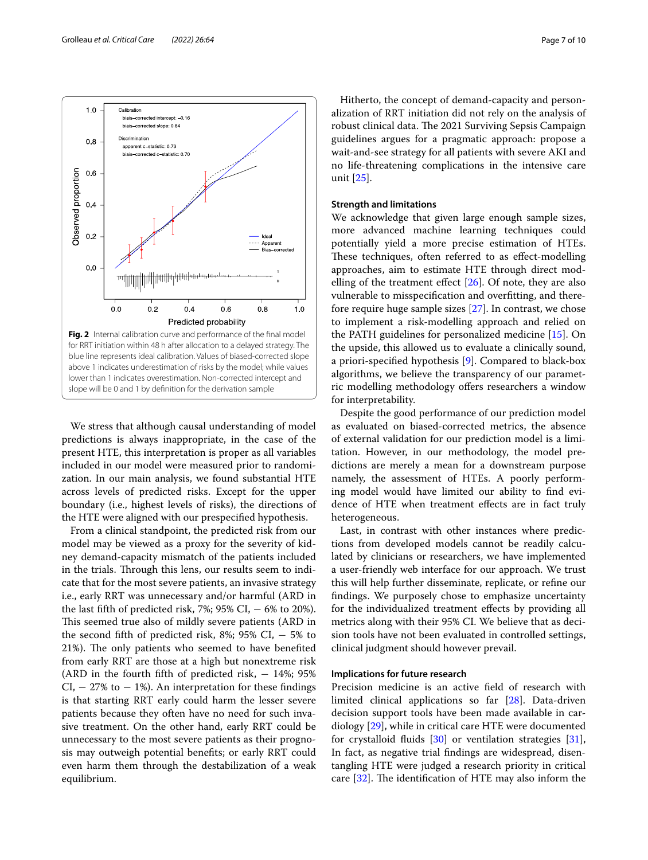

<span id="page-6-0"></span>We stress that although causal understanding of model predictions is always inappropriate, in the case of the present HTE, this interpretation is proper as all variables included in our model were measured prior to randomization. In our main analysis, we found substantial HTE across levels of predicted risks. Except for the upper boundary (i.e., highest levels of risks), the directions of the HTE were aligned with our prespecifed hypothesis.

From a clinical standpoint, the predicted risk from our model may be viewed as a proxy for the severity of kidney demand-capacity mismatch of the patients included in the trials. Through this lens, our results seem to indicate that for the most severe patients, an invasive strategy i.e., early RRT was unnecessary and/or harmful (ARD in the last fifth of predicted risk, 7%;  $95\%$  CI,  $-6\%$  to 20%). This seemed true also of mildly severe patients (ARD in the second fifth of predicted risk, 8%; 95% CI,  $-5\%$  to 21%). The only patients who seemed to have benefited from early RRT are those at a high but nonextreme risk (ARD in the fourth fifth of predicted risk,  $-14\%$ ; 95%  $CI$ ,  $-$  27% to  $-$  1%). An interpretation for these findings is that starting RRT early could harm the lesser severe patients because they often have no need for such invasive treatment. On the other hand, early RRT could be unnecessary to the most severe patients as their prognosis may outweigh potential benefts; or early RRT could even harm them through the destabilization of a weak equilibrium.

Hitherto, the concept of demand-capacity and personalization of RRT initiation did not rely on the analysis of robust clinical data. The 2021 Surviving Sepsis Campaign guidelines argues for a pragmatic approach: propose a wait-and-see strategy for all patients with severe AKI and no life-threatening complications in the intensive care unit [[25\]](#page-9-23).

#### **Strength and limitations**

We acknowledge that given large enough sample sizes, more advanced machine learning techniques could potentially yield a more precise estimation of HTEs. These techniques, often referred to as effect-modelling approaches, aim to estimate HTE through direct modelling of the treatment effect  $[26]$ . Of note, they are also vulnerable to misspecifcation and overftting, and therefore require huge sample sizes [[27\]](#page-9-25). In contrast, we chose to implement a risk-modelling approach and relied on the PATH guidelines for personalized medicine [\[15\]](#page-9-13). On the upside, this allowed us to evaluate a clinically sound, a priori-specifed hypothesis [\[9\]](#page-9-7). Compared to black-box algorithms, we believe the transparency of our parametric modelling methodology offers researchers a window for interpretability.

Despite the good performance of our prediction model as evaluated on biased-corrected metrics, the absence of external validation for our prediction model is a limitation. However, in our methodology, the model predictions are merely a mean for a downstream purpose namely, the assessment of HTEs. A poorly performing model would have limited our ability to fnd evidence of HTE when treatment efects are in fact truly heterogeneous.

Last, in contrast with other instances where predictions from developed models cannot be readily calculated by clinicians or researchers, we have implemented a user-friendly web interface for our approach. We trust this will help further disseminate, replicate, or refne our fndings. We purposely chose to emphasize uncertainty for the individualized treatment efects by providing all metrics along with their 95% CI. We believe that as decision tools have not been evaluated in controlled settings, clinical judgment should however prevail.

#### **Implications for future research**

Precision medicine is an active feld of research with limited clinical applications so far [[28\]](#page-9-26). Data-driven decision support tools have been made available in cardiology [\[29](#page-9-27)], while in critical care HTE were documented for crystalloid fuids [\[30](#page-9-28)] or ventilation strategies [\[31](#page-9-29)], In fact, as negative trial fndings are widespread, disentangling HTE were judged a research priority in critical care  $[32]$  $[32]$ . The identification of HTE may also inform the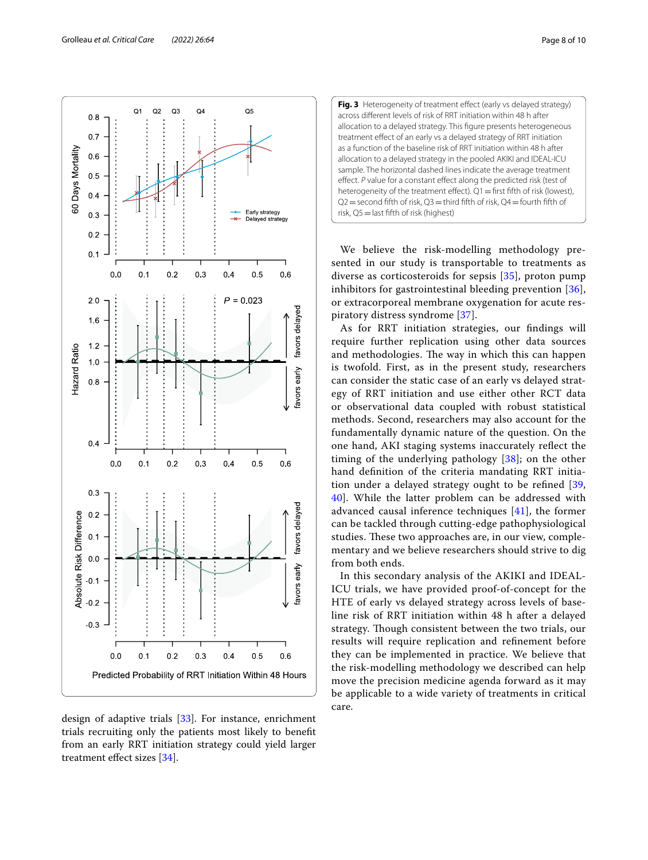design of adaptive trials [[33\]](#page-9-31). For instance, enrichment trials recruiting only the patients most likely to beneft from an early RRT initiation strategy could yield larger treatment efect sizes [[34\]](#page-9-32).

diverse as corticosteroids for sepsis [[35](#page-9-33)], proton pump inhibitors for gastrointestinal bleeding prevention [[36](#page-9-34)], or extracorporeal membrane oxygenation for acute respiratory distress syndrome [\[37](#page-9-35)]. As for RRT initiation strategies, our fndings will require further replication using other data sources and methodologies. The way in which this can happen

We believe the risk-modelling methodology presented in our study is transportable to treatments as

is twofold. First, as in the present study, researchers can consider the static case of an early vs delayed strategy of RRT initiation and use either other RCT data or observational data coupled with robust statistical methods. Second, researchers may also account for the fundamentally dynamic nature of the question. On the one hand, AKI staging systems inaccurately refect the timing of the underlying pathology [\[38](#page-9-36)]; on the other hand defnition of the criteria mandating RRT initiation under a delayed strategy ought to be refned [\[39](#page-9-37), [40\]](#page-9-38). While the latter problem can be addressed with advanced causal inference techniques [[41](#page-9-39)], the former can be tackled through cutting-edge pathophysiological studies. These two approaches are, in our view, complementary and we believe researchers should strive to dig from both ends.

In this secondary analysis of the AKIKI and IDEAL-ICU trials, we have provided proof-of-concept for the HTE of early vs delayed strategy across levels of baseline risk of RRT initiation within 48 h after a delayed strategy. Though consistent between the two trials, our results will require replication and refnement before they can be implemented in practice. We believe that the risk-modelling methodology we described can help move the precision medicine agenda forward as it may be applicable to a wide variety of treatments in critical care.





<span id="page-7-0"></span>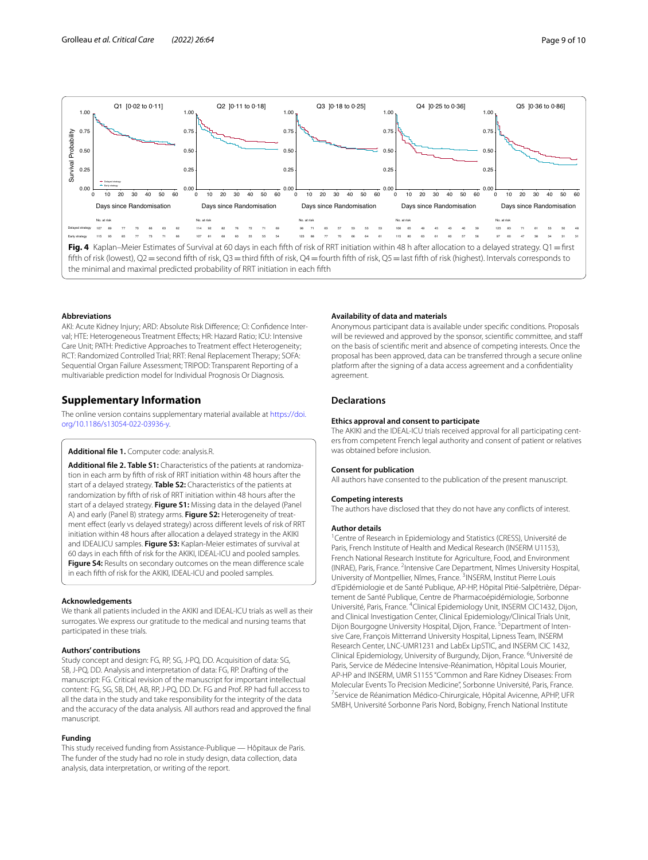

#### <span id="page-8-2"></span>**Abbreviations**

AKI: Acute Kidney Injury; ARD: Absolute Risk Difference; CI: Confidence Interval; HTE: Heterogeneous Treatment Efects; HR: Hazard Ratio; ICU: Intensive Care Unit; PATH: Predictive Approaches to Treatment effect Heterogeneity; RCT: Randomized Controlled Trial; RRT: Renal Replacement Therapy; SOFA: Sequential Organ Failure Assessment; TRIPOD: Transparent Reporting of a multivariable prediction model for Individual Prognosis Or Diagnosis.

#### **Supplementary Information**

The online version contains supplementary material available at [https://doi.](https://doi.org/10.1186/s13054-022-03936-y) [org/10.1186/s13054-022-03936-y.](https://doi.org/10.1186/s13054-022-03936-y)

#### <span id="page-8-1"></span><span id="page-8-0"></span>**Additional fle 1.** Computer code: analysis.R.

**Additional fle 2. Table S1:** Characteristics of the patients at randomiza‑ tion in each arm by ffth of risk of RRT initiation within 48 hours after the start of a delayed strategy. **Table S2:** Characteristics of the patients at randomization by ffth of risk of RRT initiation within 48 hours after the start of a delayed strategy. **Figure S1:** Missing data in the delayed (Panel A) and early (Panel B) strategy arms. **Figure S2:** Heterogeneity of treat‑ ment efect (early vs delayed strategy) across diferent levels of risk of RRT initiation within 48 hours after allocation a delayed strategy in the AKIKI and IDEALICU samples. **Figure S3:** Kaplan-Meier estimates of survival at 60 days in each ffth of risk for the AKIKI, IDEAL-ICU and pooled samples. **Figure S4:** Results on secondary outcomes on the mean diference scale in each ffth of risk for the AKIKI, IDEAL-ICU and pooled samples.

#### **Acknowledgements**

We thank all patients included in the AKIKI and IDEAL-ICU trials as well as their surrogates. We express our gratitude to the medical and nursing teams that participated in these trials.

#### **Authors' contributions**

Study concept and design: FG, RP, SG, J-PQ, DD. Acquisition of data: SG, SB, J-PQ, DD. Analysis and interpretation of data: FG, RP. Drafting of the manuscript: FG. Critical revision of the manuscript for important intellectual content: FG, SG, SB, DH, AB, RP, J-PQ, DD. Dr. FG and Prof. RP had full access to all the data in the study and take responsibility for the integrity of the data and the accuracy of the data analysis. All authors read and approved the fnal manuscript.

#### **Funding**

This study received funding from Assistance-Publique — Hôpitaux de Paris. The funder of the study had no role in study design, data collection, data analysis, data interpretation, or writing of the report.

#### **Availability of data and materials**

Anonymous participant data is available under specifc conditions. Proposals will be reviewed and approved by the sponsor, scientific committee, and staff on the basis of scientifc merit and absence of competing interests. Once the proposal has been approved, data can be transferred through a secure online platform after the signing of a data access agreement and a confdentiality agreement.

#### **Declarations**

#### **Ethics approval and consent to participate**

The AKIKI and the IDEAL-ICU trials received approval for all participating centers from competent French legal authority and consent of patient or relatives was obtained before inclusion.

#### **Consent for publication**

**Competing interests**

All authors have consented to the publication of the present manuscript.

The authors have disclosed that they do not have any conficts of interest.

# **Author details**

<sup>1</sup> Centre of Research in Epidemiology and Statistics (CRESS), Université de Paris, French Institute of Health and Medical Research (INSERM U1153), French National Research Institute for Agriculture, Food, and Environment (INRAE), Paris, France. <sup>2</sup>Intensive Care Department, Nîmes University Hospital, University of Montpellier, Nîmes, France.<sup>3</sup> INSERM, Institut Pierre Louis d'Epidémiologie et de Santé Publique, AP‑HP, Hôpital Pitié‑Salpêtrière, Dépar‑ tement de Santé Publique, Centre de Pharmacoépidémiologie, Sorbonne Université, Paris, France. <sup>4</sup> Clinical Epidemiology Unit, INSERM CIC1432, Dijon, and Clinical Investigation Center, Clinical Epidemiology/Clinical Trials Unit, Dijon Bourgogne University Hospital, Dijon, France.<sup>5</sup> Department of Intensive Care, François Mitterrand University Hospital, Lipness Team, INSERM Research Center, LNC‑UMR1231 and LabEx LipSTIC, and INSERM CIC 1432, Clinical Epidemiology, University of Burgundy, Dijon, France. <sup>6</sup>Université de Paris, Service de Médecine Intensive‑Réanimation, Hôpital Louis Mourier, AP‑HP and INSERM, UMR S1155 "Common and Rare Kidney Diseases: From Molecular Events To Precision Medicine", Sorbonne Université, Paris, France. <sup>7</sup> Service de Réanimation Médico-Chirurgicale, Hôpital Avicenne, APHP, UFR SMBH, Université Sorbonne Paris Nord, Bobigny, French National Institute